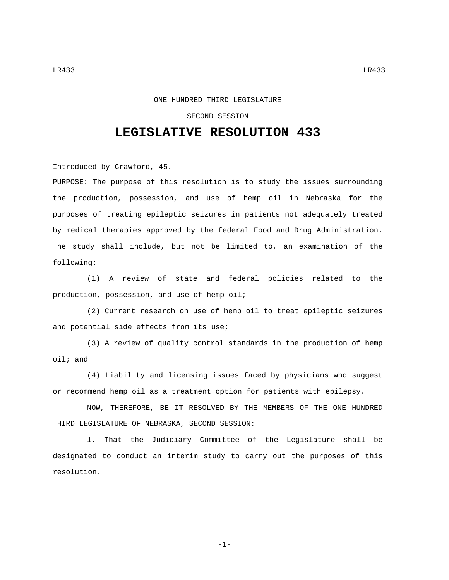## ONE HUNDRED THIRD LEGISLATURE

## SECOND SESSION

## **LEGISLATIVE RESOLUTION 433**

Introduced by Crawford, 45.

PURPOSE: The purpose of this resolution is to study the issues surrounding the production, possession, and use of hemp oil in Nebraska for the purposes of treating epileptic seizures in patients not adequately treated by medical therapies approved by the federal Food and Drug Administration. The study shall include, but not be limited to, an examination of the following:

(1) A review of state and federal policies related to the production, possession, and use of hemp oil;

(2) Current research on use of hemp oil to treat epileptic seizures and potential side effects from its use;

(3) A review of quality control standards in the production of hemp oil; and

(4) Liability and licensing issues faced by physicians who suggest or recommend hemp oil as a treatment option for patients with epilepsy.

NOW, THEREFORE, BE IT RESOLVED BY THE MEMBERS OF THE ONE HUNDRED THIRD LEGISLATURE OF NEBRASKA, SECOND SESSION:

1. That the Judiciary Committee of the Legislature shall be designated to conduct an interim study to carry out the purposes of this resolution.